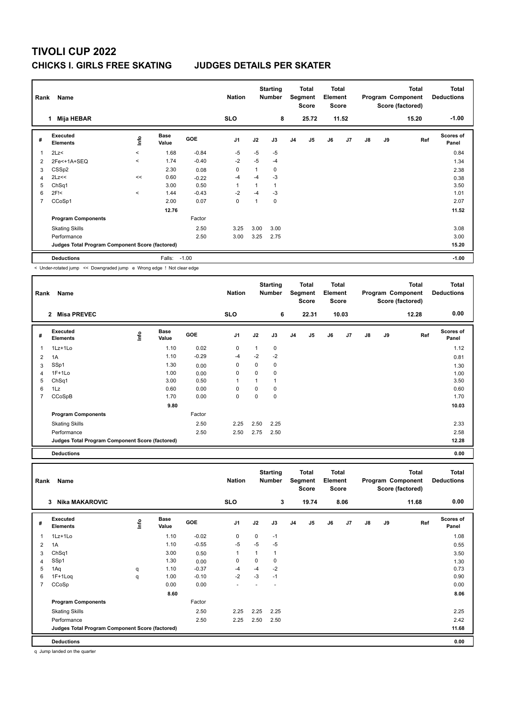| Rank           | Name                                                                  |              |                      |            | <b>Nation</b>  |      | <b>Starting</b><br><b>Number</b> |                | <b>Total</b><br>Segment<br><b>Score</b> | <b>Total</b><br>Element<br><b>Score</b> |                |               |    | <b>Total</b><br>Program Component<br>Score (factored) | <b>Total</b><br><b>Deductions</b> |
|----------------|-----------------------------------------------------------------------|--------------|----------------------|------------|----------------|------|----------------------------------|----------------|-----------------------------------------|-----------------------------------------|----------------|---------------|----|-------------------------------------------------------|-----------------------------------|
|                | <b>Mija HEBAR</b><br>1                                                |              |                      |            | <b>SLO</b>     |      | 8                                |                | 25.72                                   |                                         | 11.52          |               |    | 15.20                                                 | $-1.00$                           |
| #              | Executed<br><b>Elements</b>                                           | Info         | <b>Base</b><br>Value | <b>GOE</b> | J <sub>1</sub> | J2   | J3                               | J <sub>4</sub> | J <sub>5</sub>                          | J6                                      | J <sub>7</sub> | $\mathsf{J}8$ | J9 | Ref                                                   | <b>Scores of</b><br>Panel         |
| 1              | 2Lz<                                                                  | $\hat{}$     | 1.68                 | $-0.84$    | $-5$           | $-5$ | $-5$                             |                |                                         |                                         |                |               |    |                                                       | 0.84                              |
| $\overline{2}$ | 2Fe<+1A+SEQ                                                           | $\checkmark$ | 1.74                 | $-0.40$    | $-2$           | $-5$ | $-4$                             |                |                                         |                                         |                |               |    |                                                       | 1.34                              |
| 3              | CSS <sub>p2</sub>                                                     |              | 2.30                 | 0.08       | 0              | 1    | 0                                |                |                                         |                                         |                |               |    |                                                       | 2.38                              |
| 4              | 2Lz<<                                                                 | <<           | 0.60                 | $-0.22$    | $-4$           | $-4$ | $-3$                             |                |                                         |                                         |                |               |    |                                                       | 0.38                              |
| 5              | Ch <sub>Sq1</sub>                                                     |              | 3.00                 | 0.50       | 1              | 1    | $\mathbf{1}$                     |                |                                         |                                         |                |               |    |                                                       | 3.50                              |
| 6              | 2F <sub>1</sub>                                                       | $\prec$      | 1.44                 | $-0.43$    | $-2$           | $-4$ | $-3$                             |                |                                         |                                         |                |               |    |                                                       | 1.01                              |
| $\overline{7}$ | CCoSp1                                                                |              | 2.00                 | 0.07       | $\mathbf 0$    | 1    | $\mathbf 0$                      |                |                                         |                                         |                |               |    |                                                       | 2.07                              |
|                |                                                                       |              | 12.76                |            |                |      |                                  |                |                                         |                                         |                |               |    |                                                       | 11.52                             |
|                | <b>Program Components</b>                                             |              |                      | Factor     |                |      |                                  |                |                                         |                                         |                |               |    |                                                       |                                   |
|                | <b>Skating Skills</b>                                                 |              |                      | 2.50       | 3.25           | 3.00 | 3.00                             |                |                                         |                                         |                |               |    |                                                       | 3.08                              |
|                | Performance                                                           |              |                      | 2.50       | 3.00           | 3.25 | 2.75                             |                |                                         |                                         |                |               |    |                                                       | 3.00                              |
|                | Judges Total Program Component Score (factored)                       |              |                      |            |                |      |                                  |                |                                         |                                         |                |               |    |                                                       | 15.20                             |
|                | <b>Deductions</b>                                                     |              | Falls:               | $-1.00$    |                |      |                                  |                |                                         |                                         |                |               |    |                                                       | $-1.00$                           |
|                | < Under-rotated jump << Downgraded jump e Wrong edge ! Not clear edge |              |                      |            |                |      |                                  |                |                                         |                                         |                |               |    |                                                       |                                   |

| Rank           | Name                                            |      |                      |            | <b>Nation</b>  |              | <b>Starting</b><br><b>Number</b> |                | Total<br>Segment<br><b>Score</b> | Total<br>Element<br><b>Score</b> |                |    |    | <b>Total</b><br>Program Component<br>Score (factored) | <b>Total</b><br><b>Deductions</b> |
|----------------|-------------------------------------------------|------|----------------------|------------|----------------|--------------|----------------------------------|----------------|----------------------------------|----------------------------------|----------------|----|----|-------------------------------------------------------|-----------------------------------|
|                | <b>Misa PREVEC</b><br>$\mathbf{2}$              |      |                      |            | <b>SLO</b>     |              | 6                                |                | 22.31                            |                                  | 10.03          |    |    | 12.28                                                 | 0.00                              |
| #              | Executed<br><b>Elements</b>                     | ١mfo | <b>Base</b><br>Value | <b>GOE</b> | J <sub>1</sub> | J2           | J3                               | J <sub>4</sub> | J5                               | J6                               | J <sub>7</sub> | J8 | J9 | Ref                                                   | Scores of<br>Panel                |
| 1              | 1Lz+1Lo                                         |      | 1.10                 | 0.02       | 0              | $\mathbf{1}$ | $\mathbf 0$                      |                |                                  |                                  |                |    |    |                                                       | 1.12                              |
| $\overline{2}$ | 1A                                              |      | 1.10                 | $-0.29$    | -4             | $-2$         | $-2$                             |                |                                  |                                  |                |    |    |                                                       | 0.81                              |
| 3              | SSp1                                            |      | 1.30                 | 0.00       | 0              | 0            | 0                                |                |                                  |                                  |                |    |    |                                                       | 1.30                              |
| 4              | $1F+1Lo$                                        |      | 1.00                 | 0.00       | 0              | 0            | $\mathbf 0$                      |                |                                  |                                  |                |    |    |                                                       | 1.00                              |
| 5              | ChSq1                                           |      | 3.00                 | 0.50       | $\overline{1}$ |              | $\mathbf 1$                      |                |                                  |                                  |                |    |    |                                                       | 3.50                              |
| 6              | 1Lz                                             |      | 0.60                 | 0.00       | 0              | 0            | 0                                |                |                                  |                                  |                |    |    |                                                       | 0.60                              |
| 7              | CCoSpB                                          |      | 1.70                 | 0.00       | 0              | 0            | 0                                |                |                                  |                                  |                |    |    |                                                       | 1.70                              |
|                |                                                 |      | 9.80                 |            |                |              |                                  |                |                                  |                                  |                |    |    |                                                       | 10.03                             |
|                | <b>Program Components</b>                       |      |                      | Factor     |                |              |                                  |                |                                  |                                  |                |    |    |                                                       |                                   |
|                | <b>Skating Skills</b>                           |      |                      | 2.50       | 2.25           | 2.50         | 2.25                             |                |                                  |                                  |                |    |    |                                                       | 2.33                              |
|                | Performance                                     |      |                      | 2.50       | 2.50           | 2.75         | 2.50                             |                |                                  |                                  |                |    |    |                                                       | 2.58                              |
|                | Judges Total Program Component Score (factored) |      |                      |            |                |              |                                  |                |                                  |                                  |                |    |    |                                                       | 12.28                             |
|                | <b>Deductions</b>                               |      |                      |            |                |              |                                  |                |                                  |                                  |                |    |    |                                                       | 0.00                              |

| Rank | Name                                            |    |                      |            | <b>Nation</b>  |              | <b>Starting</b><br><b>Number</b> |                | Total<br>Segment<br><b>Score</b> | <b>Total</b><br>Element<br><b>Score</b> |      |               |    | <b>Total</b><br>Program Component<br>Score (factored) | <b>Total</b><br><b>Deductions</b> |
|------|-------------------------------------------------|----|----------------------|------------|----------------|--------------|----------------------------------|----------------|----------------------------------|-----------------------------------------|------|---------------|----|-------------------------------------------------------|-----------------------------------|
|      | Nika MAKAROVIC<br>3                             |    |                      |            | <b>SLO</b>     |              | 3                                |                | 19.74                            |                                         | 8.06 |               |    | 11.68                                                 | 0.00                              |
| #    | Executed<br><b>Elements</b>                     | ۴ů | <b>Base</b><br>Value | <b>GOE</b> | J <sub>1</sub> | J2           | J3                               | J <sub>4</sub> | J5                               | J6                                      | J7   | $\mathsf{J}8$ | J9 | Ref                                                   | <b>Scores of</b><br>Panel         |
| 1    | $1Lz+1Lo$                                       |    | 1.10                 | $-0.02$    | 0              | 0            | $-1$                             |                |                                  |                                         |      |               |    |                                                       | 1.08                              |
| 2    | 1A                                              |    | 1.10                 | $-0.55$    | $-5$           | $-5$         | $-5$                             |                |                                  |                                         |      |               |    |                                                       | 0.55                              |
| 3    | ChSq1                                           |    | 3.00                 | 0.50       | 1              | $\mathbf{1}$ | $\overline{1}$                   |                |                                  |                                         |      |               |    |                                                       | 3.50                              |
| 4    | SSp1                                            |    | 1.30                 | 0.00       | 0              | 0            | 0                                |                |                                  |                                         |      |               |    |                                                       | 1.30                              |
| 5    | 1Aq                                             | q  | 1.10                 | $-0.37$    | $-4$           | $-4$         | $-2$                             |                |                                  |                                         |      |               |    |                                                       | 0.73                              |
| 6    | $1F+1Log$                                       | q  | 1.00                 | $-0.10$    | $-2$           | $-3$         | $-1$                             |                |                                  |                                         |      |               |    |                                                       | 0.90                              |
| 7    | CCoSp                                           |    | 0.00                 | 0.00       |                |              |                                  |                |                                  |                                         |      |               |    |                                                       | 0.00                              |
|      |                                                 |    | 8.60                 |            |                |              |                                  |                |                                  |                                         |      |               |    |                                                       | 8.06                              |
|      | <b>Program Components</b>                       |    |                      | Factor     |                |              |                                  |                |                                  |                                         |      |               |    |                                                       |                                   |
|      | <b>Skating Skills</b>                           |    |                      | 2.50       | 2.25           | 2.25         | 2.25                             |                |                                  |                                         |      |               |    |                                                       | 2.25                              |
|      | Performance                                     |    |                      | 2.50       | 2.25           | 2.50         | 2.50                             |                |                                  |                                         |      |               |    |                                                       | 2.42                              |
|      | Judges Total Program Component Score (factored) |    |                      |            |                |              |                                  |                |                                  |                                         |      |               |    |                                                       | 11.68                             |
|      | <b>Deductions</b>                               |    |                      |            |                |              |                                  |                |                                  |                                         |      |               |    |                                                       | 0.00                              |

q Jump landed on the quarter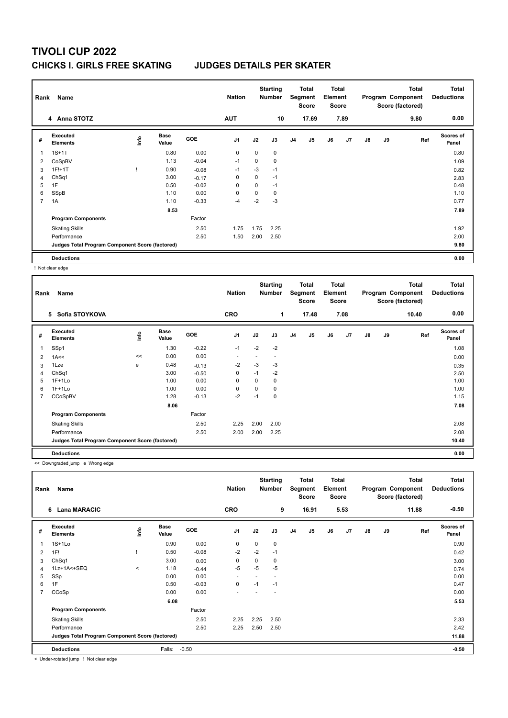| Rank                    | Name                                            |      |                      |            | <b>Nation</b>  |      | <b>Starting</b><br><b>Number</b> |                | Total<br>Segment<br><b>Score</b> | <b>Total</b><br>Element<br><b>Score</b> |      |               |    | <b>Total</b><br>Program Component<br>Score (factored) | <b>Total</b><br><b>Deductions</b> |
|-------------------------|-------------------------------------------------|------|----------------------|------------|----------------|------|----------------------------------|----------------|----------------------------------|-----------------------------------------|------|---------------|----|-------------------------------------------------------|-----------------------------------|
|                         | 4 Anna STOTZ                                    |      |                      |            | <b>AUT</b>     |      | 10                               |                | 17.69                            |                                         | 7.89 |               |    | 9.80                                                  | 0.00                              |
| #                       | Executed<br><b>Elements</b>                     | lnfo | <b>Base</b><br>Value | <b>GOE</b> | J <sub>1</sub> | J2   | J3                               | J <sub>4</sub> | J <sub>5</sub>                   | J6                                      | J7   | $\mathsf{J}8$ | J9 | Ref                                                   | <b>Scores of</b><br>Panel         |
| $\overline{\mathbf{1}}$ | $1S+1T$                                         |      | 0.80                 | 0.00       | 0              | 0    | 0                                |                |                                  |                                         |      |               |    |                                                       | 0.80                              |
| 2                       | CoSpBV                                          |      | 1.13                 | $-0.04$    | $-1$           | 0    | 0                                |                |                                  |                                         |      |               |    |                                                       | 1.09                              |
| 3                       | $1F!+1T$                                        |      | 0.90                 | $-0.08$    | $-1$           | $-3$ | $-1$                             |                |                                  |                                         |      |               |    |                                                       | 0.82                              |
| $\overline{4}$          | Ch <sub>Sq1</sub>                               |      | 3.00                 | $-0.17$    | 0              | 0    | $-1$                             |                |                                  |                                         |      |               |    |                                                       | 2.83                              |
| 5                       | 1F                                              |      | 0.50                 | $-0.02$    | 0              | 0    | $-1$                             |                |                                  |                                         |      |               |    |                                                       | 0.48                              |
| 6                       | SSpB                                            |      | 1.10                 | 0.00       | 0              | 0    | 0                                |                |                                  |                                         |      |               |    |                                                       | 1.10                              |
| $\overline{7}$          | 1A                                              |      | 1.10                 | $-0.33$    | -4             | $-2$ | $-3$                             |                |                                  |                                         |      |               |    |                                                       | 0.77                              |
|                         |                                                 |      | 8.53                 |            |                |      |                                  |                |                                  |                                         |      |               |    |                                                       | 7.89                              |
|                         | <b>Program Components</b>                       |      |                      | Factor     |                |      |                                  |                |                                  |                                         |      |               |    |                                                       |                                   |
|                         | <b>Skating Skills</b>                           |      |                      | 2.50       | 1.75           | 1.75 | 2.25                             |                |                                  |                                         |      |               |    |                                                       | 1.92                              |
|                         | Performance                                     |      |                      | 2.50       | 1.50           | 2.00 | 2.50                             |                |                                  |                                         |      |               |    |                                                       | 2.00                              |
|                         | Judges Total Program Component Score (factored) |      |                      |            |                |      |                                  |                |                                  |                                         |      |               |    |                                                       | 9.80                              |
|                         | <b>Deductions</b>                               |      |                      |            |                |      |                                  |                |                                  |                                         |      |               |    |                                                       | 0.00                              |

! Not clear edge

| Rank | Name                                            |    |                      |            | <b>Nation</b>            |          | <b>Starting</b><br><b>Number</b> |                | Total<br>Segment<br><b>Score</b> | <b>Total</b><br>Element<br>Score |                |               |    | <b>Total</b><br>Program Component<br>Score (factored) | <b>Total</b><br><b>Deductions</b> |
|------|-------------------------------------------------|----|----------------------|------------|--------------------------|----------|----------------------------------|----------------|----------------------------------|----------------------------------|----------------|---------------|----|-------------------------------------------------------|-----------------------------------|
|      | 5 Sofia STOYKOVA                                |    |                      |            | <b>CRO</b>               |          | 1                                |                | 17.48                            |                                  | 7.08           |               |    | 10.40                                                 | 0.00                              |
| #    | <b>Executed</b><br><b>Elements</b>              | ١m | <b>Base</b><br>Value | <b>GOE</b> | J <sub>1</sub>           | J2       | J3                               | J <sub>4</sub> | J5                               | J6                               | J <sub>7</sub> | $\mathsf{J}8$ | J9 | Ref                                                   | <b>Scores of</b><br>Panel         |
| 1    | SSp1                                            |    | 1.30                 | $-0.22$    | $-1$                     | $-2$     | $-2$                             |                |                                  |                                  |                |               |    |                                                       | 1.08                              |
| 2    | 1A<<                                            | << | 0.00                 | 0.00       | $\overline{\phantom{a}}$ |          |                                  |                |                                  |                                  |                |               |    |                                                       | 0.00                              |
| 3    | 1Lze                                            | e  | 0.48                 | $-0.13$    | $-2$                     | $-3$     | -3                               |                |                                  |                                  |                |               |    |                                                       | 0.35                              |
| 4    | Ch <sub>Sq1</sub>                               |    | 3.00                 | $-0.50$    | 0                        | $-1$     | $-2$                             |                |                                  |                                  |                |               |    |                                                       | 2.50                              |
| 5    | $1F+1Lo$                                        |    | 1.00                 | 0.00       | 0                        | 0        | 0                                |                |                                  |                                  |                |               |    |                                                       | 1.00                              |
| 6    | $1F+1Lo$                                        |    | 1.00                 | 0.00       | 0                        | $\Omega$ | 0                                |                |                                  |                                  |                |               |    |                                                       | 1.00                              |
| 7    | CCoSpBV                                         |    | 1.28                 | $-0.13$    | $-2$                     | $-1$     | 0                                |                |                                  |                                  |                |               |    |                                                       | 1.15                              |
|      |                                                 |    | 8.06                 |            |                          |          |                                  |                |                                  |                                  |                |               |    |                                                       | 7.08                              |
|      | <b>Program Components</b>                       |    |                      | Factor     |                          |          |                                  |                |                                  |                                  |                |               |    |                                                       |                                   |
|      | <b>Skating Skills</b>                           |    |                      | 2.50       | 2.25                     | 2.00     | 2.00                             |                |                                  |                                  |                |               |    |                                                       | 2.08                              |
|      | Performance                                     |    |                      | 2.50       | 2.00                     | 2.00     | 2.25                             |                |                                  |                                  |                |               |    |                                                       | 2.08                              |
|      | Judges Total Program Component Score (factored) |    |                      |            |                          |          |                                  |                |                                  |                                  |                |               |    |                                                       | 10.40                             |
|      | <b>Deductions</b>                               |    |                      |            |                          |          |                                  |                |                                  |                                  |                |               |    |                                                       | 0.00                              |

<< Downgraded jump e Wrong edge

| Rank           | Name                                            |         |               |            | <b>Nation</b>            |          | <b>Starting</b><br><b>Number</b> |    | <b>Total</b><br>Segment<br><b>Score</b> | <b>Total</b><br>Element<br><b>Score</b> |                |               |    | <b>Total</b><br>Program Component<br>Score (factored) | <b>Total</b><br><b>Deductions</b> |
|----------------|-------------------------------------------------|---------|---------------|------------|--------------------------|----------|----------------------------------|----|-----------------------------------------|-----------------------------------------|----------------|---------------|----|-------------------------------------------------------|-----------------------------------|
|                | 6 Lana MARACIC                                  |         |               |            | <b>CRO</b>               |          | 9                                |    | 16.91                                   |                                         | 5.53           |               |    | 11.88                                                 | $-0.50$                           |
| #              | Executed<br><b>Elements</b>                     | ١nf٥    | Base<br>Value | <b>GOE</b> | J <sub>1</sub>           | J2       | J3                               | J4 | J5                                      | J6                                      | J <sub>7</sub> | $\mathsf{J}8$ | J9 | Ref                                                   | <b>Scores of</b><br>Panel         |
| 1              | $1S+1Lo$                                        |         | 0.90          | 0.00       | $\mathbf 0$              | $\Omega$ | 0                                |    |                                         |                                         |                |               |    |                                                       | 0.90                              |
| 2              | 1F!                                             |         | 0.50          | $-0.08$    | $-2$                     | $-2$     | $-1$                             |    |                                         |                                         |                |               |    |                                                       | 0.42                              |
| 3              | ChSq1                                           |         | 3.00          | 0.00       | $\mathbf 0$              | 0        | 0                                |    |                                         |                                         |                |               |    |                                                       | 3.00                              |
| 4              | 1Lz+1A<+SEQ                                     | $\prec$ | 1.18          | $-0.44$    | -5                       | $-5$     | $-5$                             |    |                                         |                                         |                |               |    |                                                       | 0.74                              |
| 5              | SSp                                             |         | 0.00          | 0.00       | $\overline{\phantom{a}}$ | ٠        | $\overline{a}$                   |    |                                         |                                         |                |               |    |                                                       | 0.00                              |
| 6              | 1F                                              |         | 0.50          | $-0.03$    | $\mathbf 0$              | $-1$     | $-1$                             |    |                                         |                                         |                |               |    |                                                       | 0.47                              |
| $\overline{7}$ | CCoSp                                           |         | 0.00          | 0.00       | $\overline{\phantom{a}}$ |          |                                  |    |                                         |                                         |                |               |    |                                                       | 0.00                              |
|                |                                                 |         | 6.08          |            |                          |          |                                  |    |                                         |                                         |                |               |    |                                                       | 5.53                              |
|                | <b>Program Components</b>                       |         |               | Factor     |                          |          |                                  |    |                                         |                                         |                |               |    |                                                       |                                   |
|                | <b>Skating Skills</b>                           |         |               | 2.50       | 2.25                     | 2.25     | 2.50                             |    |                                         |                                         |                |               |    |                                                       | 2.33                              |
|                | Performance                                     |         |               | 2.50       | 2.25                     | 2.50     | 2.50                             |    |                                         |                                         |                |               |    |                                                       | 2.42                              |
|                | Judges Total Program Component Score (factored) |         |               |            |                          |          |                                  |    |                                         |                                         |                |               |    |                                                       | 11.88                             |
|                | <b>Deductions</b>                               |         | Falls:        | $-0.50$    |                          |          |                                  |    |                                         |                                         |                |               |    |                                                       | $-0.50$                           |

< Under-rotated jump ! Not clear edge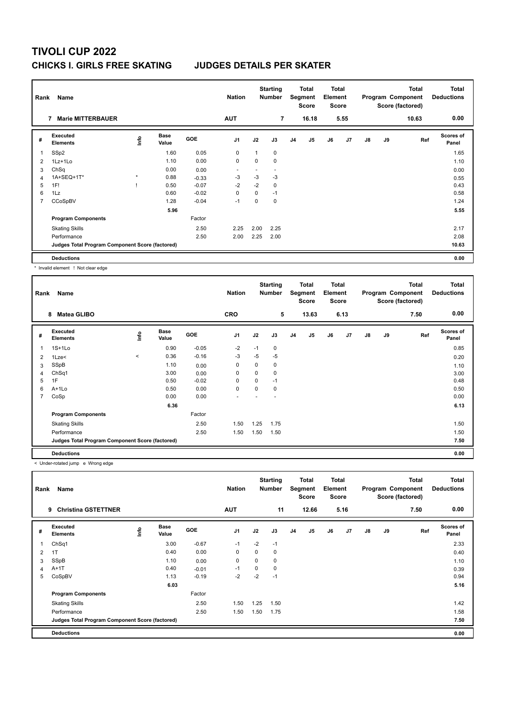| Rank           | Name                                            |         |                      |            | <b>Nation</b>  |      | <b>Starting</b><br><b>Number</b> |                | <b>Total</b><br>Segment<br><b>Score</b> | <b>Total</b><br>Element<br><b>Score</b> |                |               |    | <b>Total</b><br>Program Component<br>Score (factored) | <b>Total</b><br><b>Deductions</b> |
|----------------|-------------------------------------------------|---------|----------------------|------------|----------------|------|----------------------------------|----------------|-----------------------------------------|-----------------------------------------|----------------|---------------|----|-------------------------------------------------------|-----------------------------------|
|                | <b>Marie MITTERBAUER</b><br>7                   |         |                      |            | <b>AUT</b>     |      | $\overline{7}$                   |                | 16.18                                   |                                         | 5.55           |               |    | 10.63                                                 | 0.00                              |
| #              | Executed<br><b>Elements</b>                     | lnfo    | <b>Base</b><br>Value | <b>GOE</b> | J <sub>1</sub> | J2   | J3                               | J <sub>4</sub> | J <sub>5</sub>                          | J6                                      | J <sub>7</sub> | $\mathsf{J}8$ | J9 | Ref                                                   | <b>Scores of</b><br>Panel         |
|                | SSp2                                            |         | 1.60                 | 0.05       | $\mathbf 0$    |      | 0                                |                |                                         |                                         |                |               |    |                                                       | 1.65                              |
| 2              | 1Lz+1Lo                                         |         | 1.10                 | 0.00       | 0              | 0    | 0                                |                |                                         |                                         |                |               |    |                                                       | 1.10                              |
| 3              | ChSq                                            |         | 0.00                 | 0.00       | ٠              |      | $\overline{\phantom{a}}$         |                |                                         |                                         |                |               |    |                                                       | 0.00                              |
| 4              | 1A+SEQ+1T*                                      | $\star$ | 0.88                 | $-0.33$    | $-3$           | $-3$ | $-3$                             |                |                                         |                                         |                |               |    |                                                       | 0.55                              |
| 5              | 1F!                                             |         | 0.50                 | $-0.07$    | $-2$           | $-2$ | 0                                |                |                                         |                                         |                |               |    |                                                       | 0.43                              |
| 6              | 1Lz                                             |         | 0.60                 | $-0.02$    | 0              | 0    | $-1$                             |                |                                         |                                         |                |               |    |                                                       | 0.58                              |
| $\overline{7}$ | CCoSpBV                                         |         | 1.28                 | $-0.04$    | $-1$           | 0    | 0                                |                |                                         |                                         |                |               |    |                                                       | 1.24                              |
|                |                                                 |         | 5.96                 |            |                |      |                                  |                |                                         |                                         |                |               |    |                                                       | 5.55                              |
|                | <b>Program Components</b>                       |         |                      | Factor     |                |      |                                  |                |                                         |                                         |                |               |    |                                                       |                                   |
|                | <b>Skating Skills</b>                           |         |                      | 2.50       | 2.25           | 2.00 | 2.25                             |                |                                         |                                         |                |               |    |                                                       | 2.17                              |
|                | Performance                                     |         |                      | 2.50       | 2.00           | 2.25 | 2.00                             |                |                                         |                                         |                |               |    |                                                       | 2.08                              |
|                | Judges Total Program Component Score (factored) |         |                      |            |                |      |                                  |                |                                         |                                         |                |               |    |                                                       | 10.63                             |
|                | <b>Deductions</b>                               |         |                      |            |                |      |                                  |                |                                         |                                         |                |               |    |                                                       | 0.00                              |

\* Invalid element ! Not clear edge

| Rank | Name                                            |       |                      |         | <b>Nation</b>  |          | <b>Starting</b><br>Number |                | <b>Total</b><br>Segment<br><b>Score</b> | Total<br>Element<br><b>Score</b> |                |               |    | Total<br>Program Component<br>Score (factored) | Total<br><b>Deductions</b> |
|------|-------------------------------------------------|-------|----------------------|---------|----------------|----------|---------------------------|----------------|-----------------------------------------|----------------------------------|----------------|---------------|----|------------------------------------------------|----------------------------|
|      | 8<br><b>Matea GLIBO</b>                         |       |                      |         | <b>CRO</b>     |          | 5                         |                | 13.63                                   |                                  | 6.13           |               |    | 7.50                                           | 0.00                       |
| #    | <b>Executed</b><br><b>Elements</b>              | lmfo  | <b>Base</b><br>Value | GOE     | J <sub>1</sub> | J2       | J3                        | J <sub>4</sub> | J5                                      | J6                               | J <sub>7</sub> | $\mathsf{J}8$ | J9 | Ref                                            | Scores of<br>Panel         |
| 1    | $1S+1Lo$                                        |       | 0.90                 | $-0.05$ | $-2$           | $-1$     | 0                         |                |                                         |                                  |                |               |    |                                                | 0.85                       |
| 2    | $1$ Lze $<$                                     | $\,<$ | 0.36                 | $-0.16$ | $-3$           | $-5$     | $-5$                      |                |                                         |                                  |                |               |    |                                                | 0.20                       |
| 3    | SSpB                                            |       | 1.10                 | 0.00    | 0              | 0        | 0                         |                |                                         |                                  |                |               |    |                                                | 1.10                       |
| 4    | ChSq1                                           |       | 3.00                 | 0.00    | 0              | 0        | 0                         |                |                                         |                                  |                |               |    |                                                | 3.00                       |
| 5    | 1F                                              |       | 0.50                 | $-0.02$ | 0              | 0        | $-1$                      |                |                                         |                                  |                |               |    |                                                | 0.48                       |
| 6    | A+1Lo                                           |       | 0.50                 | 0.00    | $\mathbf 0$    | $\Omega$ | 0                         |                |                                         |                                  |                |               |    |                                                | 0.50                       |
| 7    | CoSp                                            |       | 0.00                 | 0.00    | $\overline{a}$ |          |                           |                |                                         |                                  |                |               |    |                                                | 0.00                       |
|      |                                                 |       | 6.36                 |         |                |          |                           |                |                                         |                                  |                |               |    |                                                | 6.13                       |
|      | <b>Program Components</b>                       |       |                      | Factor  |                |          |                           |                |                                         |                                  |                |               |    |                                                |                            |
|      | <b>Skating Skills</b>                           |       |                      | 2.50    | 1.50           | 1.25     | 1.75                      |                |                                         |                                  |                |               |    |                                                | 1.50                       |
|      | Performance                                     |       |                      | 2.50    | 1.50           | 1.50     | 1.50                      |                |                                         |                                  |                |               |    |                                                | 1.50                       |
|      | Judges Total Program Component Score (factored) |       |                      |         |                |          |                           |                |                                         |                                  |                |               |    |                                                | 7.50                       |
|      | <b>Deductions</b>                               |       |                      |         |                |          |                           |                |                                         |                                  |                |               |    |                                                | 0.00                       |

< Under-rotated jump e Wrong edge

| Rank | Name                                            |      |                      |            | <b>Nation</b>  |          | <b>Starting</b><br>Number |                | <b>Total</b><br>Segment<br><b>Score</b> | <b>Total</b><br>Element<br><b>Score</b> |      |               |    | <b>Total</b><br>Program Component<br>Score (factored) | <b>Total</b><br><b>Deductions</b> |
|------|-------------------------------------------------|------|----------------------|------------|----------------|----------|---------------------------|----------------|-----------------------------------------|-----------------------------------------|------|---------------|----|-------------------------------------------------------|-----------------------------------|
|      | <b>Christina GSTETTNER</b><br>9                 |      |                      |            | <b>AUT</b>     |          | 11                        |                | 12.66                                   |                                         | 5.16 |               |    | 7.50                                                  | 0.00                              |
| #    | <b>Executed</b><br><b>Elements</b>              | lnfo | <b>Base</b><br>Value | <b>GOE</b> | J <sub>1</sub> | J2       | J3                        | J <sub>4</sub> | J5                                      | J6                                      | J7   | $\mathsf{J}8$ | J9 | Ref                                                   | Scores of<br>Panel                |
| -1   | ChSq1                                           |      | 3.00                 | $-0.67$    | $-1$           | $-2$     | $-1$                      |                |                                         |                                         |      |               |    |                                                       | 2.33                              |
| 2    | 1T                                              |      | 0.40                 | 0.00       | 0              | $\Omega$ | $\Omega$                  |                |                                         |                                         |      |               |    |                                                       | 0.40                              |
| 3    | SSpB                                            |      | 1.10                 | 0.00       | 0              | 0        | 0                         |                |                                         |                                         |      |               |    |                                                       | 1.10                              |
| 4    | $A+1T$                                          |      | 0.40                 | $-0.01$    | $-1$           | $\Omega$ | 0                         |                |                                         |                                         |      |               |    |                                                       | 0.39                              |
| 5    | CoSpBV                                          |      | 1.13                 | $-0.19$    | $-2$           | $-2$     | $-1$                      |                |                                         |                                         |      |               |    |                                                       | 0.94                              |
|      |                                                 |      | 6.03                 |            |                |          |                           |                |                                         |                                         |      |               |    |                                                       | 5.16                              |
|      | <b>Program Components</b>                       |      |                      | Factor     |                |          |                           |                |                                         |                                         |      |               |    |                                                       |                                   |
|      | <b>Skating Skills</b>                           |      |                      | 2.50       | 1.50           | 1.25     | 1.50                      |                |                                         |                                         |      |               |    |                                                       | 1.42                              |
|      | Performance                                     |      |                      | 2.50       | 1.50           | 1.50     | 1.75                      |                |                                         |                                         |      |               |    |                                                       | 1.58                              |
|      | Judges Total Program Component Score (factored) |      |                      |            |                |          |                           |                |                                         |                                         |      |               |    |                                                       | 7.50                              |
|      | <b>Deductions</b>                               |      |                      |            |                |          |                           |                |                                         |                                         |      |               |    |                                                       | 0.00                              |